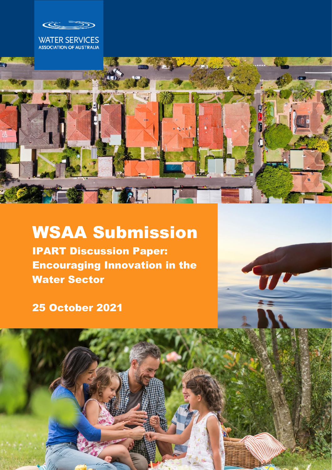Œ





# WSAA Submission

IPART Discussion Paper: Encouraging Innovation in the Water Sector

25 October 2021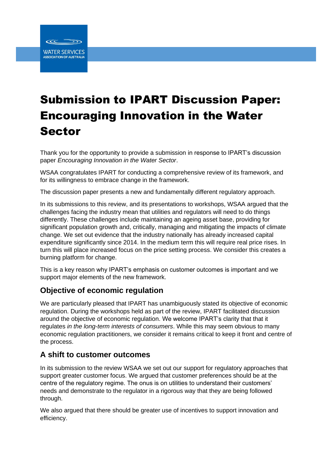

# Submission to IPART Discussion Paper: Encouraging Innovation in the Water Sector

Thank you for the opportunity to provide a submission in response to IPART's discussion paper *Encouraging Innovation in the Water Sector*.

WSAA congratulates IPART for conducting a comprehensive review of its framework, and for its willingness to embrace change in the framework.

The discussion paper presents a new and fundamentally different regulatory approach.

In its submissions to this review, and its presentations to workshops, WSAA argued that the challenges facing the industry mean that utilities and regulators will need to do things differently. These challenges include maintaining an ageing asset base, providing for significant population growth and, critically, managing and mitigating the impacts of climate change. We set out evidence that the industry nationally has already increased capital expenditure significantly since 2014. In the medium term this will require real price rises. In turn this will place increased focus on the price setting process. We consider this creates a burning platform for change.

This is a key reason why IPART's emphasis on customer outcomes is important and we support major elements of the new framework.

### **Objective of economic regulation**

We are particularly pleased that IPART has unambiguously stated its objective of economic regulation. During the workshops held as part of the review, IPART facilitated discussion around the objective of economic regulation. We welcome IPART's clarity that that it regulates *in the long-term interests of consumers*. While this may seem obvious to many economic regulation practitioners, we consider it remains critical to keep it front and centre of the process.

#### **A shift to customer outcomes**

In its submission to the review WSAA we set out our support for regulatory approaches that support greater customer focus. We argued that customer preferences should be at the centre of the regulatory regime. The onus is on utilities to understand their customers' needs and demonstrate to the regulator in a rigorous way that they are being followed through.

We also argued that there should be greater use of incentives to support innovation and efficiency.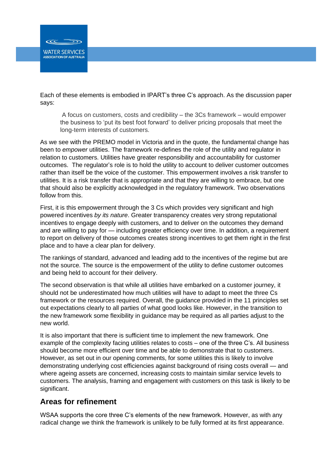**WATER SERVICES** ASSOCIATION OF AUSTRALIA

Each of these elements is embodied in IPART's three C's approach. As the discussion paper says:

A focus on customers, costs and credibility – the 3Cs framework – would empower the business to 'put its best foot forward' to deliver pricing proposals that meet the long-term interests of customers.

As we see with the PREMO model in Victoria and in the quote, the fundamental change has been to *empower* utilities. The framework re-defines the role of the utility and regulator in relation to customers. Utilities have greater responsibility and accountability for customer outcomes. The regulator's role is to hold the utility to account to deliver customer outcomes rather than itself be the voice of the customer. This empowerment involves a risk transfer to utilities. It is a risk transfer that is appropriate and that they are willing to embrace, but one that should also be explicitly acknowledged in the regulatory framework. Two observations follow from this.

First, it is this empowerment through the 3 Cs which provides very significant and high powered incentives *by its nature*. Greater transparency creates very strong reputational incentives to engage deeply with customers, and to deliver on the outcomes they demand and are willing to pay for — including greater efficiency over time. In addition, a requirement to report on delivery of those outcomes creates strong incentives to get them right in the first place and to have a clear plan for delivery.

The rankings of standard, advanced and leading add to the incentives of the regime but are not the source. The source is the empowerment of the utility to define customer outcomes and being held to account for their delivery.

The second observation is that while all utilities have embarked on a customer journey, it should not be underestimated how much utilities will have to adapt to meet the three Cs framework or the resources required. Overall, the guidance provided in the 11 principles set out expectations clearly to all parties of what good looks like. However, in the transition to the new framework some flexibility in guidance may be required as all parties adjust to the new world.

It is also important that there is sufficient time to implement the new framework. One example of the complexity facing utilities relates to costs – one of the three C's. All business should become more efficient over time and be able to demonstrate that to customers. However, as set out in our opening comments, for some utilities this is likely to involve demonstrating underlying cost efficiencies against background of rising costs overall — and where ageing assets are concerned, increasing costs to maintain similar service levels to customers. The analysis, framing and engagement with customers on this task is likely to be significant.

#### **Areas for refinement**

WSAA supports the core three C's elements of the new framework. However, as with any radical change we think the framework is unlikely to be fully formed at its first appearance.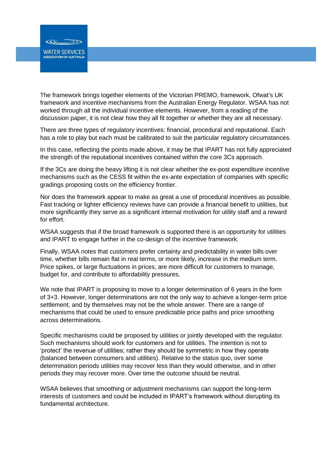**WATER SERVICES ASSOCIATION OF AUSTRALIA** 

The framework brings together elements of the Victorian PREMO, framework, Ofwat's UK framework and incentive mechanisms from the Australian Energy Regulator. WSAA has not worked through all the individual incentive elements. However, from a reading of the discussion paper, it is not clear how they all fit together or whether they are all necessary.

There are three types of regulatory incentives: financial, procedural and reputational. Each has a role to play but each must be calibrated to suit the particular regulatory circumstances.

In this case, reflecting the points made above, it may be that IPART has not fully appreciated the strength of the reputational incentives contained within the core 3Cs approach.

If the 3Cs are doing the heavy lifting it is not clear whether the ex-post expenditure incentive mechanisms such as the CESS fit within the ex-ante expectation of companies with specific gradings proposing costs on the efficiency frontier.

Nor does the framework appear to make as great a use of procedural incentives as possible. Fast tracking or lighter efficiency reviews have can provide a financial benefit to utilities, but more significantly they serve as a significant internal motivation for utility staff and a reward for effort.

WSAA suggests that if the broad framework is supported there is an opportunity for utilities and IPART to engage further in the co-design of the incentive framework.

Finally, WSAA notes that customers prefer certainty and predictability in water bills over time, whether bills remain flat in real terms, or more likely, increase in the medium term. Price spikes, or large fluctuations in prices, are more difficult for customers to manage, budget for, and contribute to affordability pressures.

We note that IPART is proposing to move to a longer determination of 6 years in the form of 3+3. However, longer determinations are not the only way to achieve a longer-term price settlement, and by themselves may not be the whole answer. There are a range of mechanisms that could be used to ensure predictable price paths and price smoothing across determinations.

Specific mechanisms could be proposed by utilities or jointly developed with the regulator. Such mechanisms should work for customers and for utilities. The intention is not to 'protect' the revenue of utilities; rather they should be symmetric in how they operate (balanced between consumers and utilities). Relative to the status quo, over some determination periods utilities may recover less than they would otherwise, and in other periods they may recover more. Over time the outcome should be neutral.

WSAA believes that smoothing or adjustment mechanisms can support the long-term interests of customers and could be included in IPART's framework without disrupting its fundamental architecture.